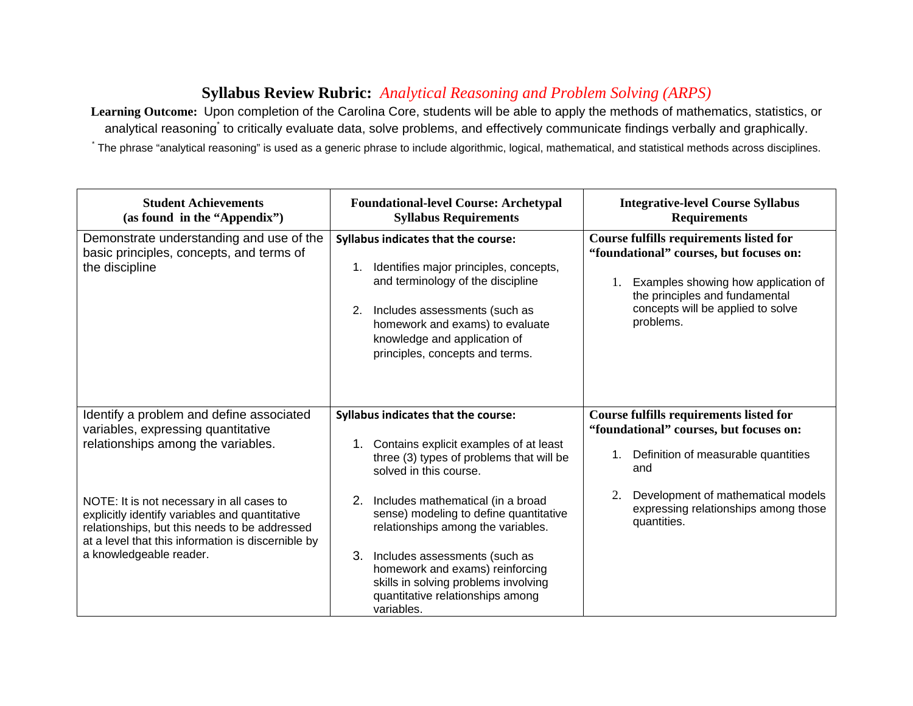## **Syllabus Review Rubric:** *Analytical Reasoning and Problem Solving (ARPS)*

**Learning Outcome:** Upon completion of the Carolina Core, students will be able to apply the methods of mathematics, statistics, or analytical reasoning<sup>\*</sup> to critically evaluate data, solve problems, and effectively communicate findings verbally and graphically. \* The phrase "analytical reasoning" is used as a generic phrase to include algorithmic, logical, mathematical, and statistical methods across disciplines.

| <b>Student Achievements</b><br>(as found in the "Appendix")                                                                                                                                                                   | <b>Foundational-level Course: Archetypal</b><br><b>Syllabus Requirements</b>                                                                                                                                                                                                             | <b>Integrative-level Course Syllabus</b><br><b>Requirements</b>                                                                                                                                                      |
|-------------------------------------------------------------------------------------------------------------------------------------------------------------------------------------------------------------------------------|------------------------------------------------------------------------------------------------------------------------------------------------------------------------------------------------------------------------------------------------------------------------------------------|----------------------------------------------------------------------------------------------------------------------------------------------------------------------------------------------------------------------|
| Demonstrate understanding and use of the<br>basic principles, concepts, and terms of<br>the discipline                                                                                                                        | <b>Syllabus indicates that the course:</b><br>1. Identifies major principles, concepts,<br>and terminology of the discipline<br>2.<br>Includes assessments (such as<br>homework and exams) to evaluate<br>knowledge and application of<br>principles, concepts and terms.                | <b>Course fulfills requirements listed for</b><br>"foundational" courses, but focuses on:<br>Examples showing how application of<br>the principles and fundamental<br>concepts will be applied to solve<br>problems. |
| Identify a problem and define associated<br>variables, expressing quantitative<br>relationships among the variables.                                                                                                          | <b>Syllabus indicates that the course:</b><br>1. Contains explicit examples of at least<br>three (3) types of problems that will be<br>solved in this course.                                                                                                                            | Course fulfills requirements listed for<br>"foundational" courses, but focuses on:<br>Definition of measurable quantities<br>1.<br>and                                                                               |
| NOTE: It is not necessary in all cases to<br>explicitly identify variables and quantitative<br>relationships, but this needs to be addressed<br>at a level that this information is discernible by<br>a knowledgeable reader. | 2. Includes mathematical (in a broad<br>sense) modeling to define quantitative<br>relationships among the variables.<br>3.<br>Includes assessments (such as<br>homework and exams) reinforcing<br>skills in solving problems involving<br>quantitative relationships among<br>variables. | Development of mathematical models<br>2.<br>expressing relationships among those<br>quantities.                                                                                                                      |